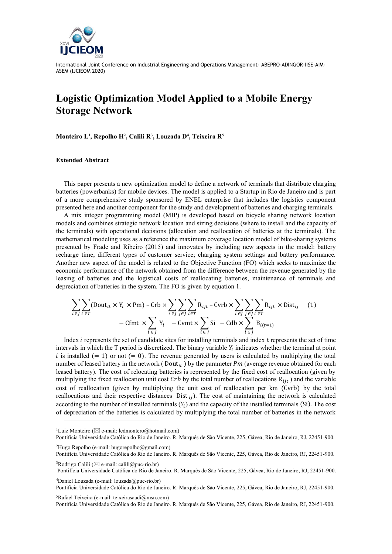

International Joint Conference on Industrial Engineering and Operations Management- ABEPRO-ADINGOR-IISE-AIM-ASEM (IJCIEOM 2020)

## **Logistic Optimization Model Applied to a Mobile Energy Storage Network**

**Monteiro L<sup>1</sup> , Repolho H<sup>2</sup> , Calili R<sup>3</sup> , Louzada D<sup>4</sup> , Teixeira R<sup>5</sup>**

## **Extended Abstract**

This paper presents a new optimization model to define a network of terminals that distribute charging batteries (powerbanks) for mobile devices. The model is applied to a Startup in Rio de Janeiro and is part of a more comprehensive study sponsored by ENEL enterprise that includes the logistics component presented here and another component for the study and development of batteries and charging terminals.

A mix integer programming model (MIP) is developed based on bicycle sharing network location models and combines strategic network location and sizing decisions (where to install and the capacity of the terminals) with operational decisions (allocation and reallocation of batteries at the terminals). The mathematical modeling uses as a reference the maximum coverage location model of bike-sharing systems presented by Frade and Ribeiro (2015) and innovates by including new aspects in the model: battery recharge time; different types of customer service; charging system settings and battery performance. Another new aspect of the model is related to the Objective Function (FO) which seeks to maximize the economic performance of the network obtained from the difference between the revenue generated by the leasing of batteries and the logistical costs of reallocating batteries, maintenance of terminals and depreciation of batteries in the system. The FO is given by equation 1.

$$
\sum_{i \in J} \sum_{t \in T} (\text{Dout}_{it} \times Y_i \times \text{Pm}) - \text{Crb} \times \sum_{i \in J} \sum_{j \in J} \sum_{t \in T} R_{ijt} - \text{Cvrb} \times \sum_{i \in J} \sum_{j \in J} \sum_{t \in T} R_{ijt} \times \text{Dist}_{ij} \quad (1)
$$

$$
- \text{Cfmt} \times \sum_{i \in J} Y_i - \text{Cvmt} \times \sum_{i \in J} \text{Si} - \text{Cdb} \times \sum_{i \in J} B_{i(t=1)}
$$

Index  $i$  represents the set of candidate sites for installing terminals and index  $t$  represents the set of time intervals in which the  $T$  period is discretized. The binary variable  $Y_i$  indicates whether the terminal at point i is installed  $(= 1)$  or not  $(= 0)$ . The revenue generated by users is calculated by multiplying the total number of leased battery in the network ( $Dout_{it}$ ) by the parameter  $Pm$  (average revenue obtained for each leased battery). The cost of relocating batteries is represented by the fixed cost of reallocation (given by multiplying the fixed reallocation unit cost  $Crb$  by the total number of reallocations  $R_{iit}$ ) and the variable cost of reallocation (given by multiplying the unit cost of reallocation per km (Cvrb) by the total reallocations and their respective distances  $Dist_{ij}$ . The cost of maintaining the network is calculated according to the number of installed terminals  $(Y_i)$  and the capacity of the installed terminals (Si). The cost of depreciation of the batteries is calculated by multiplying the total number of batteries in the network

<sup>1</sup>Luiz Monteiro ( $\boxtimes$  e-mail: ledmontero@hotmail.com)

Pontifícia Universidade Católica do Rio de Janeiro. R. Marquês de São Vicente, 225, Gávea, Rio de Janeiro, RJ, 22451-900. <sup>2</sup>Hugo Repolho (e-mail: hugorepolho@gmail.com)

Pontifícia Universidade Católica do Rio de Janeiro. R. Marquês de São Vicente, 225, Gávea, Rio de Janeiro, RJ, 22451-900.

 $3$ Rodrigo Calili ( $\boxtimes$  e-mail: calili@puc-rio.br)

<sup>4</sup>Daniel Louzada (e-mail: louzada@puc-rio.br) Pontifícia Universidade Católica do Rio de Janeiro. R. Marquês de São Vicente, 225, Gávea, Rio de Janeiro, RJ, 22451-900.

<sup>5</sup>Rafael Teixeira (e-mail: teixeirasaadi@msn.com)

Pontifícia Universidade Católica do Rio de Janeiro. R. Marquês de São Vicente, 225, Gávea, Rio de Janeiro, RJ, 22451-900.

Pontifícia Universidade Católica do Rio de Janeiro. R. Marquês de São Vicente, 225, Gávea, Rio de Janeiro, RJ, 22451-900.